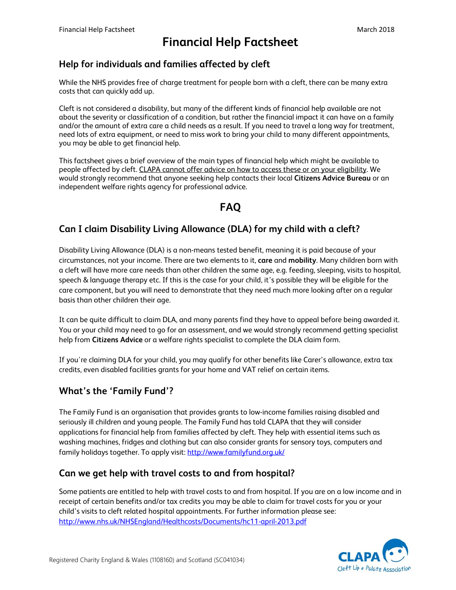# **Financial Help Factsheet**

### Help for individuals and families affected by cleft

While the NHS provides free of charge treatment for people born with a cleft, there can be many extra costs that can quickly add up.

Cleft is not considered a disability, but many of the different kinds of financial help available are not about the severity or classification of a condition, but rather the financial impact it can have on a family and/or the amount of extra care a child needs as a result. If you need to travel a long way for treatment, need lots of extra equipment, or need to miss work to bring your child to many different appointments, you may be able to get financial help.

This factsheet gives a brief overview of the main types of financial help which might be available to people affected by cleft. CLAPA cannot offer advice on how to access these or on your eligibility. We would strongly recommend that anyone seeking help contacts their local Citizens Advice Bureau or an independent welfare rights agency for professional advice.

## **FAO**

### Can I claim Disability Living Allowance (DLA) for my child with a cleft?

Disability Living Allowance (DLA) is a non-means tested benefit, meaning it is paid because of your circumstances, not your income. There are two elements to it, care and mobility. Many children born with a cleft will have more care needs than other children the same age, e.g. feeding, sleeping, visits to hospital, speech & language therapy etc. If this is the case for your child, it's possible they will be eligible for the care component, but you will need to demonstrate that they need much more looking after on a regular basis than other children their age.

It can be quite difficult to claim DLA, and many parents find they have to appeal before being awarded it. You or your child may need to go for an assessment, and we would strongly recommend getting specialist help from Citizens Advice or a welfare rights specialist to complete the DLA claim form.

If you're claiming DLA for your child, you may qualify for other benefits like Carer's allowance, extra tax credits, even disabled facilities grants for your home and VAT relief on certain items.

### **What's the 'Family Fund'?**

The Family Fund is an organisation that provides grants to low-income families raising disabled and seriously ill children and young people. The Family Fund has told CLAPA that they will consider applications for financial help from families affected by cleft. They help with essential items such as washing machines, fridges and clothing but can also consider grants for sensory toys, computers and family holidays together. To apply visit: http://www.familyfund.org.uk/

#### Can we get help with travel costs to and from hospital?

Some patients are entitled to help with travel costs to and from hospital. If you are on a low income and in receipt of certain benefits and/or tax credits you may be able to claim for travel costs for you or your child's visits to cleft related hospital appointments. For further information please see: http://www.nhs.uk/NHSEngland/Healthcosts/Documents/hc11-april-2013.pdf